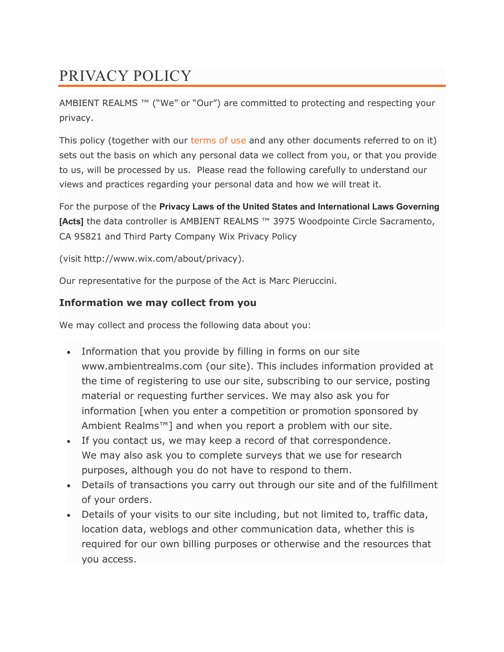# PRIVACY POLICY

AMBIENT REALMS<sup>™</sup> ("We" or "Our") are committed to protecting and respecting your privacy.

This policy (together with our [terms of use](http://www.audiomediainternational.com/terms-of-use) and any other documents referred to on it) sets out the basis on which any personal data we collect from you, or that you provide to us, will be processed by us. Please read the following carefully to understand our views and practices regarding your personal data and how we will treat it.

For the purpose of the **Privacy Laws of the United States and International Laws Governing [Acts]** the data controller is AMBIENT REALMS ™ 3975 Woodpointe Circle Sacramento, CA 95821 and Third Party Company Wix Privacy Policy

(visit http://www.wix.com/about/privacy).

Our representative for the purpose of the Act is Marc Pieruccini.

## **Information we may collect from you**

We may collect and process the following data about you:

- Information that you provide by filling in forms on our site www.ambientrealms.com (our site). This includes information provided at the time of registering to use our site, subscribing to our service, posting material or requesting further services. We may also ask you for information [when you enter a competition or promotion sponsored by Ambient Realms™] and when you report a problem with our site.
- If you contact us, we may keep a record of that correspondence. We may also ask you to complete surveys that we use for research purposes, although you do not have to respond to them.
- Details of transactions you carry out through our site and of the fulfillment of your orders.
- Details of your visits to our site including, but not limited to, traffic data, location data, weblogs and other communication data, whether this is required for our own billing purposes or otherwise and the resources that you access.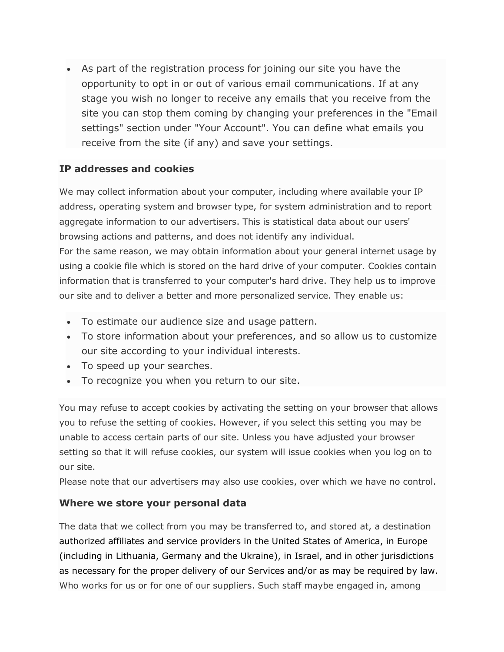As part of the registration process for joining our site you have the opportunity to opt in or out of various email communications. If at any stage you wish no longer to receive any emails that you receive from the site you can stop them coming by changing your preferences in the "Email settings" section under "Your Account". You can define what emails you receive from the site (if any) and save your settings.

## **IP addresses and cookies**

We may collect information about your computer, including where available your IP address, operating system and browser type, for system administration and to report aggregate information to our advertisers. This is statistical data about our users' browsing actions and patterns, and does not identify any individual.

For the same reason, we may obtain information about your general internet usage by using a cookie file which is stored on the hard drive of your computer. Cookies contain information that is transferred to your computer's hard drive. They help us to improve our site and to deliver a better and more personalized service. They enable us:

- To estimate our audience size and usage pattern.
- To store information about your preferences, and so allow us to customize our site according to your individual interests.
- To speed up your searches.
- To recognize you when you return to our site.

You may refuse to accept cookies by activating the setting on your browser that allows you to refuse the setting of cookies. However, if you select this setting you may be unable to access certain parts of our site. Unless you have adjusted your browser setting so that it will refuse cookies, our system will issue cookies when you log on to our site.

Please note that our advertisers may also use cookies, over which we have no control.

## **Where we store your personal data**

The data that we collect from you may be transferred to, and stored at, a destination authorized affiliates and service providers in the United States of America, in Europe (including in Lithuania, Germany and the Ukraine), in Israel, and in other jurisdictions as necessary for the proper delivery of our Services and/or as may be required by law. Who works for us or for one of our suppliers. Such staff maybe engaged in, among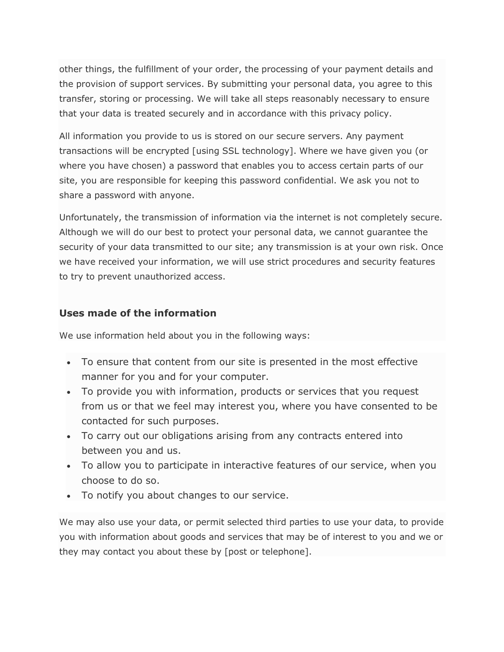other things, the fulfillment of your order, the processing of your payment details and the provision of support services. By submitting your personal data, you agree to this transfer, storing or processing. We will take all steps reasonably necessary to ensure that your data is treated securely and in accordance with this privacy policy.

All information you provide to us is stored on our secure servers. Any payment transactions will be encrypted [using SSL technology]. Where we have given you (or where you have chosen) a password that enables you to access certain parts of our site, you are responsible for keeping this password confidential. We ask you not to share a password with anyone.

Unfortunately, the transmission of information via the internet is not completely secure. Although we will do our best to protect your personal data, we cannot guarantee the security of your data transmitted to our site; any transmission is at your own risk. Once we have received your information, we will use strict procedures and security features to try to prevent unauthorized access.

#### **Uses made of the information**

We use information held about you in the following ways:

- To ensure that content from our site is presented in the most effective manner for you and for your computer.
- To provide you with information, products or services that you request from us or that we feel may interest you, where you have consented to be contacted for such purposes.
- To carry out our obligations arising from any contracts entered into between you and us.
- To allow you to participate in interactive features of our service, when you choose to do so.
- To notify you about changes to our service.

We may also use your data, or permit selected third parties to use your data, to provide you with information about goods and services that may be of interest to you and we or they may contact you about these by [post or telephone].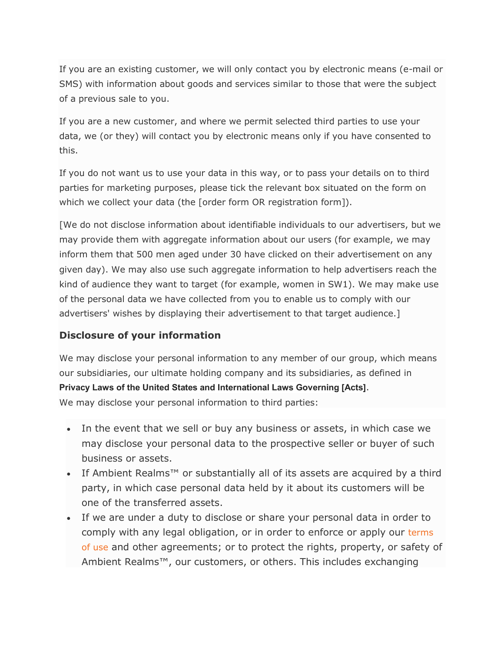If you are an existing customer, we will only contact you by electronic means (e-mail or SMS) with information about goods and services similar to those that were the subject of a previous sale to you.

If you are a new customer, and where we permit selected third parties to use your data, we (or they) will contact you by electronic means only if you have consented to this.

If you do not want us to use your data in this way, or to pass your details on to third parties for marketing purposes, please tick the relevant box situated on the form on which we collect your data (the [order form OR registration form]).

[We do not disclose information about identifiable individuals to our advertisers, but we may provide them with aggregate information about our users (for example, we may inform them that 500 men aged under 30 have clicked on their advertisement on any given day). We may also use such aggregate information to help advertisers reach the kind of audience they want to target (for example, women in SW1). We may make use of the personal data we have collected from you to enable us to comply with our advertisers' wishes by displaying their advertisement to that target audience.]

## **Disclosure of your information**

We may disclose your personal information to any member of our group, which means our subsidiaries, our ultimate holding company and its subsidiaries, as defined in **Privacy Laws of the United States and International Laws Governing [Acts]**. We may disclose your personal information to third parties:

- In the event that we sell or buy any business or assets, in which case we may disclose your personal data to the prospective seller or buyer of such business or assets.
- If Ambient Realms<sup>™</sup> or substantially all of its assets are acquired by a third party, in which case personal data held by it about its customers will be one of the transferred assets.
- If we are under a duty to disclose or share your personal data in order to comply with any legal obligation, or in order to enforce or apply our terms [of use](http://www.audiomediainternational.com/terms-of-use) and other agreements; or to protect the rights, property, or safety of Ambient Realms™, our customers, or others. This includes exchanging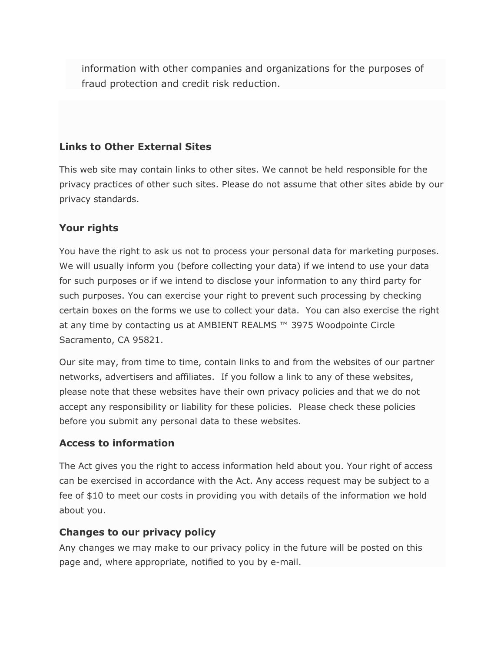information with other companies and organizations for the purposes of fraud protection and credit risk reduction.

## **Links to Other External Sites**

This web site may contain links to other sites. We cannot be held responsible for the privacy practices of other such sites. Please do not assume that other sites abide by our privacy standards.

## **Your rights**

You have the right to ask us not to process your personal data for marketing purposes. We will usually inform you (before collecting your data) if we intend to use your data for such purposes or if we intend to disclose your information to any third party for such purposes. You can exercise your right to prevent such processing by checking certain boxes on the forms we use to collect your data. You can also exercise the right at any time by contacting us at AMBIENT REALMS ™ 3975 Woodpointe Circle Sacramento, CA 95821.

Our site may, from time to time, contain links to and from the websites of our partner networks, advertisers and affiliates. If you follow a link to any of these websites, please note that these websites have their own privacy policies and that we do not accept any responsibility or liability for these policies. Please check these policies before you submit any personal data to these websites.

#### **Access to information**

The Act gives you the right to access information held about you. Your right of access can be exercised in accordance with the Act. Any access request may be subject to a fee of \$10 to meet our costs in providing you with details of the information we hold about you.

#### **Changes to our privacy policy**

Any changes we may make to our privacy policy in the future will be posted on this page and, where appropriate, notified to you by e-mail.